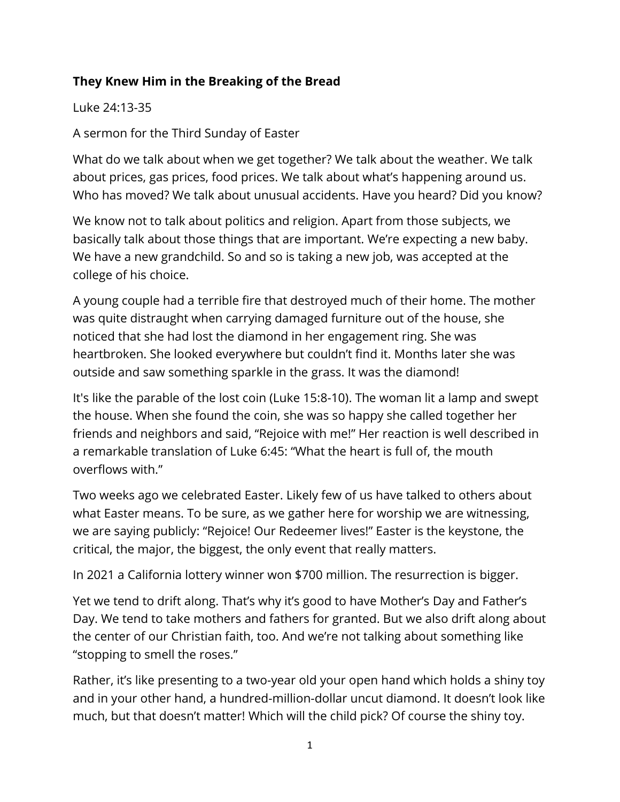## **They Knew Him in the Breaking of the Bread**

Luke 24:13-35

A sermon for the Third Sunday of Easter

What do we talk about when we get together? We talk about the weather. We talk about prices, gas prices, food prices. We talk about what's happening around us. Who has moved? We talk about unusual accidents. Have you heard? Did you know?

We know not to talk about politics and religion. Apart from those subjects, we basically talk about those things that are important. We're expecting a new baby. We have a new grandchild. So and so is taking a new job, was accepted at the college of his choice.

A young couple had a terrible fire that destroyed much of their home. The mother was quite distraught when carrying damaged furniture out of the house, she noticed that she had lost the diamond in her engagement ring. She was heartbroken. She looked everywhere but couldn't find it. Months later she was outside and saw something sparkle in the grass. It was the diamond!

It's like the parable of the lost coin (Luke 15:8-10). The woman lit a lamp and swept the house. When she found the coin, she was so happy she called together her friends and neighbors and said, "Rejoice with me!" Her reaction is well described in a remarkable translation of Luke 6:45: "What the heart is full of, the mouth overflows with."

Two weeks ago we celebrated Easter. Likely few of us have talked to others about what Easter means. To be sure, as we gather here for worship we are witnessing, we are saying publicly: "Rejoice! Our Redeemer lives!" Easter is the keystone, the critical, the major, the biggest, the only event that really matters.

In 2021 a California lottery winner won \$700 million. The resurrection is bigger.

Yet we tend to drift along. That's why it's good to have Mother's Day and Father's Day. We tend to take mothers and fathers for granted. But we also drift along about the center of our Christian faith, too. And we're not talking about something like "stopping to smell the roses."

Rather, it's like presenting to a two-year old your open hand which holds a shiny toy and in your other hand, a hundred-million-dollar uncut diamond. It doesn't look like much, but that doesn't matter! Which will the child pick? Of course the shiny toy.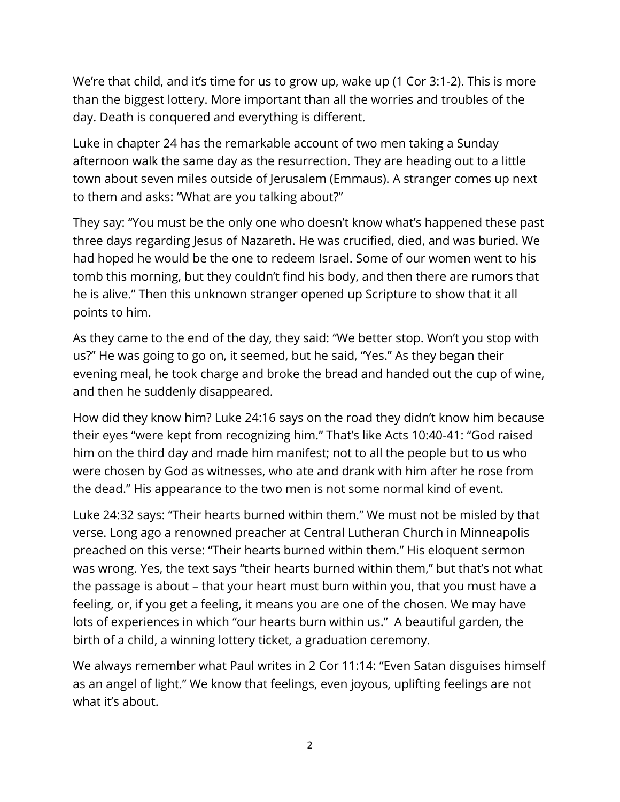We're that child, and it's time for us to grow up, wake up (1 Cor 3:1-2). This is more than the biggest lottery. More important than all the worries and troubles of the day. Death is conquered and everything is different.

Luke in chapter 24 has the remarkable account of two men taking a Sunday afternoon walk the same day as the resurrection. They are heading out to a little town about seven miles outside of Jerusalem (Emmaus). A stranger comes up next to them and asks: "What are you talking about?"

They say: "You must be the only one who doesn't know what's happened these past three days regarding Jesus of Nazareth. He was crucified, died, and was buried. We had hoped he would be the one to redeem Israel. Some of our women went to his tomb this morning, but they couldn't find his body, and then there are rumors that he is alive." Then this unknown stranger opened up Scripture to show that it all points to him.

As they came to the end of the day, they said: "We better stop. Won't you stop with us?" He was going to go on, it seemed, but he said, "Yes." As they began their evening meal, he took charge and broke the bread and handed out the cup of wine, and then he suddenly disappeared.

How did they know him? Luke 24:16 says on the road they didn't know him because their eyes "were kept from recognizing him." That's like Acts 10:40-41: "God raised him on the third day and made him manifest; not to all the people but to us who were chosen by God as witnesses, who ate and drank with him after he rose from the dead." His appearance to the two men is not some normal kind of event.

Luke 24:32 says: "Their hearts burned within them." We must not be misled by that verse. Long ago a renowned preacher at Central Lutheran Church in Minneapolis preached on this verse: "Their hearts burned within them." His eloquent sermon was wrong. Yes, the text says "their hearts burned within them," but that's not what the passage is about – that your heart must burn within you, that you must have a feeling, or, if you get a feeling, it means you are one of the chosen. We may have lots of experiences in which "our hearts burn within us." A beautiful garden, the birth of a child, a winning lottery ticket, a graduation ceremony.

We always remember what Paul writes in 2 Cor 11:14: "Even Satan disguises himself as an angel of light." We know that feelings, even joyous, uplifting feelings are not what it's about.